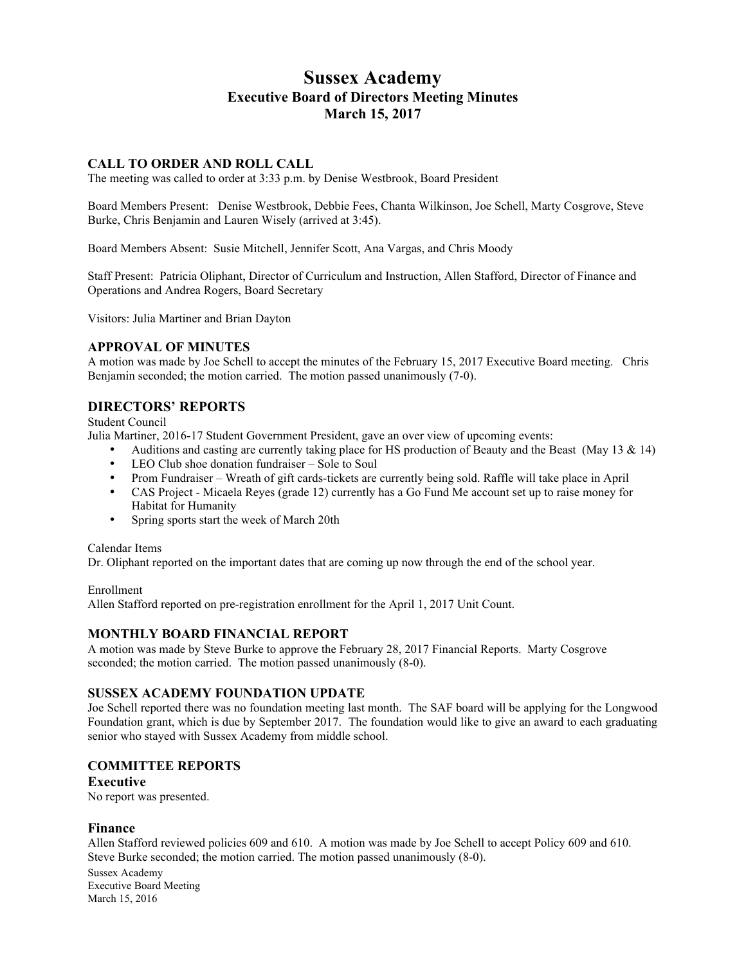# **Sussex Academy Executive Board of Directors Meeting Minutes March 15, 2017**

### **CALL TO ORDER AND ROLL CALL**

The meeting was called to order at 3:33 p.m. by Denise Westbrook, Board President

Board Members Present: Denise Westbrook, Debbie Fees, Chanta Wilkinson, Joe Schell, Marty Cosgrove, Steve Burke, Chris Benjamin and Lauren Wisely (arrived at 3:45).

Board Members Absent: Susie Mitchell, Jennifer Scott, Ana Vargas, and Chris Moody

Staff Present: Patricia Oliphant, Director of Curriculum and Instruction, Allen Stafford, Director of Finance and Operations and Andrea Rogers, Board Secretary

Visitors: Julia Martiner and Brian Dayton

#### **APPROVAL OF MINUTES**

A motion was made by Joe Schell to accept the minutes of the February 15, 2017 Executive Board meeting. Chris Benjamin seconded; the motion carried. The motion passed unanimously (7-0).

# **DIRECTORS' REPORTS**

Student Council

Julia Martiner, 2016-17 Student Government President, gave an over view of upcoming events:

- Auditions and casting are currently taking place for HS production of Beauty and the Beast (May 13  $\&$  14)
- LEO Club shoe donation fundraiser Sole to Soul
- Prom Fundraiser Wreath of gift cards-tickets are currently being sold. Raffle will take place in April
- CAS Project Micaela Reyes (grade 12) currently has a Go Fund Me account set up to raise money for Habitat for Humanity
- Spring sports start the week of March 20th

Calendar Items

Dr. Oliphant reported on the important dates that are coming up now through the end of the school year.

Enrollment Allen Stafford reported on pre-registration enrollment for the April 1, 2017 Unit Count.

### **MONTHLY BOARD FINANCIAL REPORT**

A motion was made by Steve Burke to approve the February 28, 2017 Financial Reports. Marty Cosgrove seconded; the motion carried. The motion passed unanimously  $(8-0)$ .

### **SUSSEX ACADEMY FOUNDATION UPDATE**

Joe Schell reported there was no foundation meeting last month. The SAF board will be applying for the Longwood Foundation grant, which is due by September 2017. The foundation would like to give an award to each graduating senior who stayed with Sussex Academy from middle school.

### **COMMITTEE REPORTS**

### **Executive**

No report was presented.

### **Finance**

Allen Stafford reviewed policies 609 and 610. A motion was made by Joe Schell to accept Policy 609 and 610. Steve Burke seconded; the motion carried. The motion passed unanimously (8-0).

Sussex Academy Executive Board Meeting March 15, 2016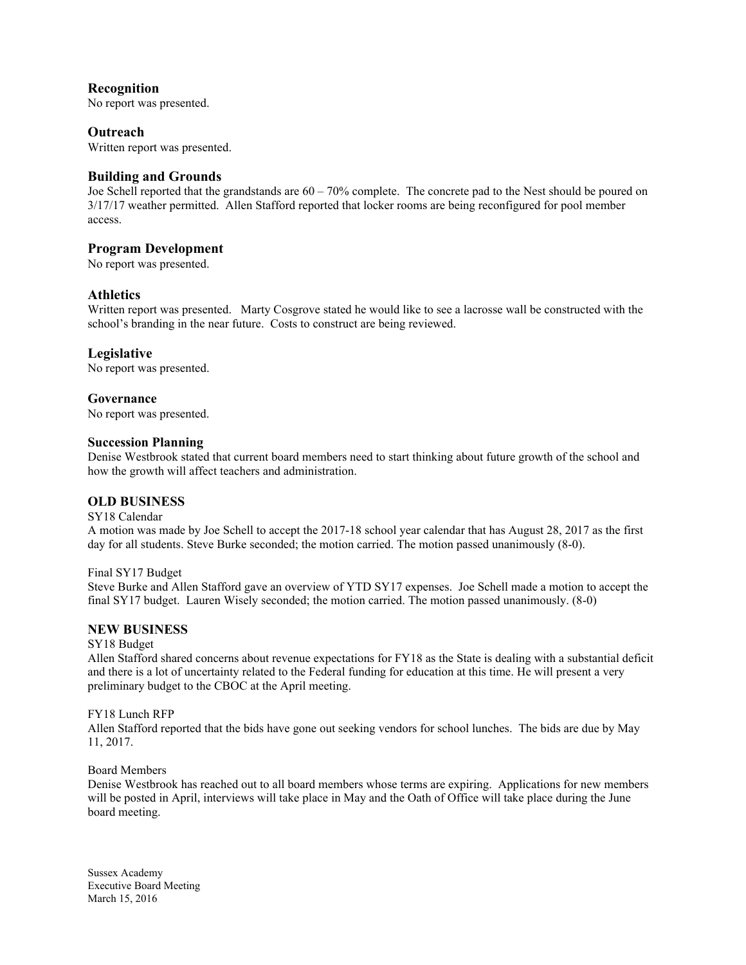**Recognition** No report was presented.

**Outreach** Written report was presented.

# **Building and Grounds**

Joe Schell reported that the grandstands are 60 – 70% complete. The concrete pad to the Nest should be poured on 3/17/17 weather permitted. Allen Stafford reported that locker rooms are being reconfigured for pool member access.

# **Program Development**

No report was presented.

# **Athletics**

Written report was presented. Marty Cosgrove stated he would like to see a lacrosse wall be constructed with the school's branding in the near future. Costs to construct are being reviewed.

# **Legislative**

No report was presented.

### **Governance**

No report was presented.

### **Succession Planning**

Denise Westbrook stated that current board members need to start thinking about future growth of the school and how the growth will affect teachers and administration.

### **OLD BUSINESS**

### SY18 Calendar

A motion was made by Joe Schell to accept the 2017-18 school year calendar that has August 28, 2017 as the first day for all students. Steve Burke seconded; the motion carried. The motion passed unanimously (8-0).

Final SY17 Budget

Steve Burke and Allen Stafford gave an overview of YTD SY17 expenses. Joe Schell made a motion to accept the final SY17 budget. Lauren Wisely seconded; the motion carried. The motion passed unanimously. (8-0)

# **NEW BUSINESS**

SY18 Budget

Allen Stafford shared concerns about revenue expectations for FY18 as the State is dealing with a substantial deficit and there is a lot of uncertainty related to the Federal funding for education at this time. He will present a very preliminary budget to the CBOC at the April meeting.

### FY18 Lunch RFP

Allen Stafford reported that the bids have gone out seeking vendors for school lunches. The bids are due by May 11, 2017.

### Board Members

Denise Westbrook has reached out to all board members whose terms are expiring. Applications for new members will be posted in April, interviews will take place in May and the Oath of Office will take place during the June board meeting.

Sussex Academy Executive Board Meeting March 15, 2016